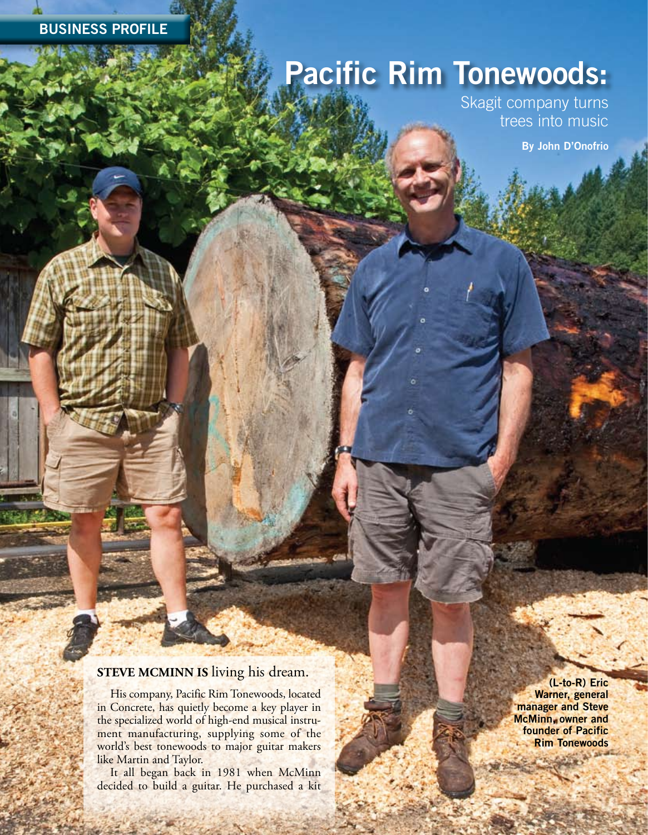## **BUSINESS PROFILE**

## **Pacific Rim Tonewoods:**

Skagit company turns trees into music

**By John D'Onofrio**

## **STEVE MCMINN IS living his dream.**

His company, Pacific Rim Tonewoods, located in Concrete, has quietly become a key player in the specialized world of high-end musical instrument manufacturing, supplying some of the world's best tonewoods to major guitar makers like Martin and Taylor.

It all began back in 1981 when McMinn decided to build a guitar. He purchased a kit

学科

**40 | NORTHWEST BUSINESS MONTHLY | SEPTEMBER 2011 2011 www www.nwbusinessmonthly nwbusinessmonthly.comom**

**(L-to-R) Eric Warner, general manager and Steve McMinn, owner and founder of Pacific Rim Tonewoods**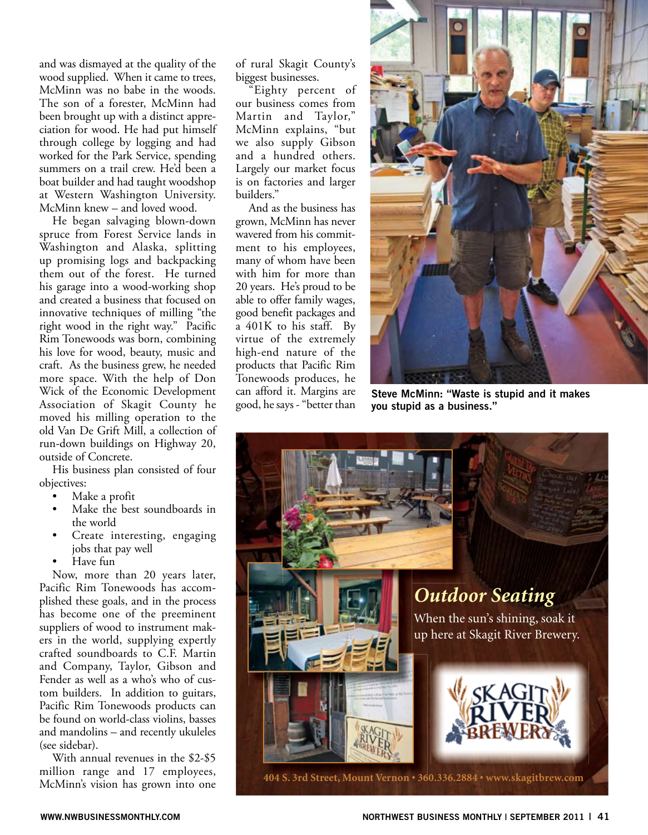and was dismayed at the quality of the wood supplied. When it came to trees, McMinn was no babe in the woods. The son of a forester, McMinn had been brought up with a distinct appreciation for wood. He had put himself through college by logging and had worked for the Park Service, spending summers on a trail crew. He'd been a boat builder and had taught woodshop at Western Washington University. McMinn knew – and loved wood.

He began salvaging blown-down spruce from Forest Service lands in Washington and Alaska, splitting up promising logs and backpacking them out of the forest. He turned his garage into a wood-working shop and created a business that focused on innovative techniques of milling "the right wood in the right way." Pacific Rim Tonewoods was born, combining his love for wood, beauty, music and craft. As the business grew, he needed more space. With the help of Don Wick of the Economic Development Association of Skagit County he moved his milling operation to the old Van De Grift Mill, a collection of run-down buildings on Highway 20, outside of Concrete.

His business plan consisted of four objectives:

- Make a profit
- Make the best soundboards in the world
- Create interesting, engaging jobs that pay well
- Have fun

Now, more than 20 years later, Pacific Rim Tonewoods has accomplished these goals, and in the process has become one of the preeminent suppliers of wood to instrument makers in the world, supplying expertly crafted soundboards to C.F. Martin and Company, Taylor, Gibson and Fender as well as a who's who of custom builders. In addition to guitars, Pacific Rim Tonewoods products can be found on world-class violins, basses and mandolins – and recently ukuleles (see sidebar).

With annual revenues in the \$2-\$5 million range and 17 employees, McMinn's vision has grown into one of rural Skagit County's biggest businesses.

"Eighty percent of our business comes from Martin and Taylor," McMinn explains, "but we also supply Gibson and a hundred others. Largely our market focus is on factories and larger builders."

And as the business has grown, McMinn has never wavered from his commitment to his employees, many of whom have been with him for more than 20 years. He's proud to be able to offer family wages, good benefit packages and a 401K to his staff. By virtue of the extremely high-end nature of the products that Pacific Rim Tonewoods produces, he can afford it. Margins are good, he says - "better than



**Steve McMinn: "Waste is stupid and it makes you stupid as a business."**

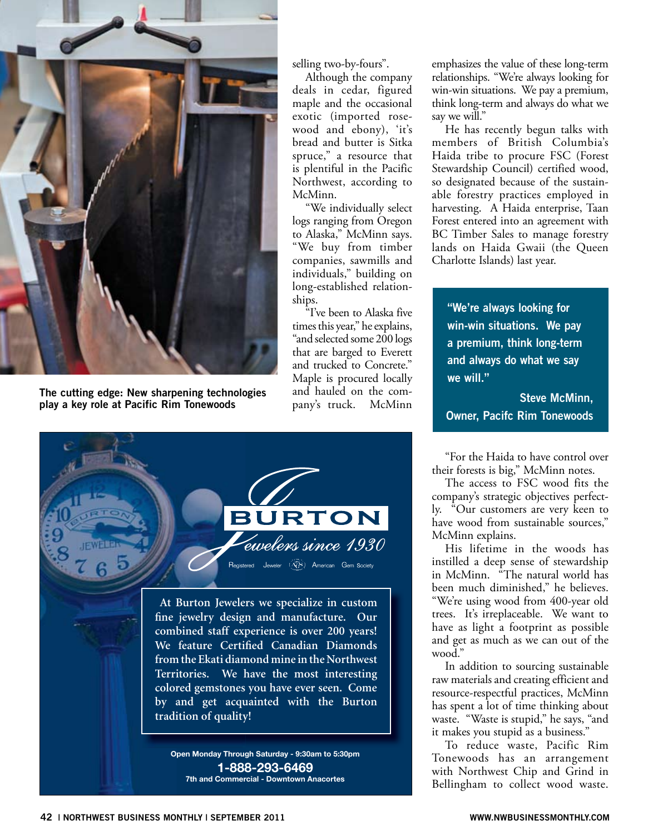

**The cutting edge: New sharpening technologies play a key role at Pacific Rim Tonewoods**

selling two-by-fours".

Although the company deals in cedar, figured maple and the occasional exotic (imported rosewood and ebony), 'it's bread and butter is Sitka spruce," a resource that is plentiful in the Pacific Northwest, according to McMinn.

"We individually select logs ranging from Oregon to Alaska," McMinn says. "We buy from timber companies, sawmills and individuals," building on long-established relationships.

"I've been to Alaska five times this year," he explains, "and selected some 200 logs that are barged to Everett and trucked to Concrete." Maple is procured locally and hauled on the company's truck. McMinn



**combined staff experience is over 200 years!**  We feature Certified Canadian Diamonds **from the Ekati diamond mine in the Northwest Territories. We have the most interesting colored gemstones you have ever seen. Come by and get acquainted with the Burton tradition of quality!**

**Open Monday Through Saturday - 9:30am to 5:30pm 1-888-293-6469 7th and Commercial - Downtown Anacortes**

emphasizes the value of these long-term relationships. "We're always looking for win-win situations. We pay a premium, think long-term and always do what we say we will."

He has recently begun talks with members of British Columbia's Haida tribe to procure FSC (Forest Stewardship Council) certified wood, so designated because of the sustainable forestry practices employed in harvesting. A Haida enterprise, Taan Forest entered into an agreement with BC Timber Sales to manage forestry lands on Haida Gwaii (the Queen Charlotte Islands) last year.

**"We're always looking for win-win situations. We pay a premium, think long-term and always do what we say we will."**

**Steve McMinn, Owner, Pacifc Rim Tonewoods**

"For the Haida to have control over their forests is big," McMinn notes.

The access to FSC wood fits the company's strategic objectives perfectly. "Our customers are very keen to have wood from sustainable sources," McMinn explains.

His lifetime in the woods has instilled a deep sense of stewardship in McMinn. "The natural world has been much diminished," he believes. "We're using wood from 400-year old trees. It's irreplaceable. We want to have as light a footprint as possible and get as much as we can out of the wood."

In addition to sourcing sustainable raw materials and creating efficient and resource-respectful practices, McMinn has spent a lot of time thinking about waste. "Waste is stupid," he says, "and it makes you stupid as a business."

To reduce waste, Pacific Rim Tonewoods has an arrangement with Northwest Chip and Grind in Bellingham to collect wood waste.